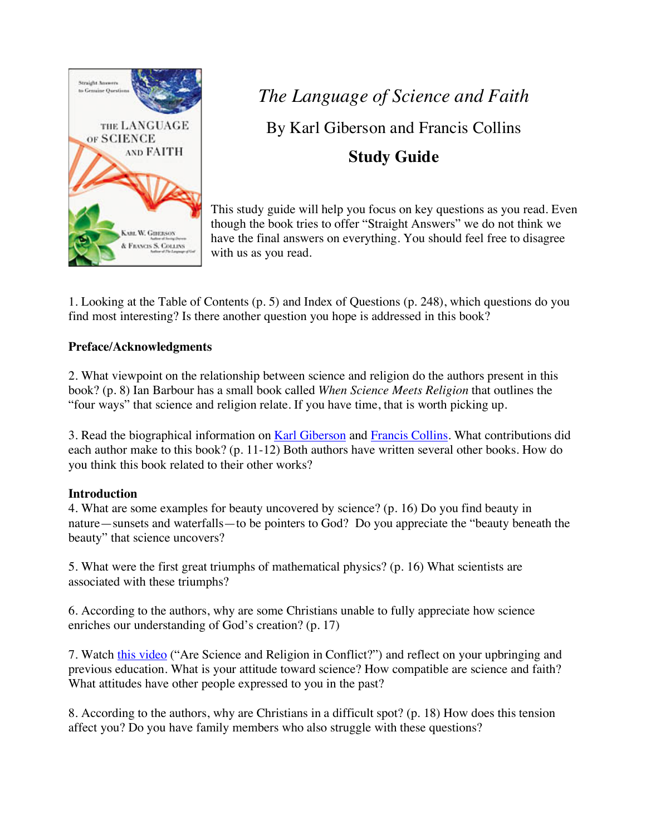

*The Language of Science and Faith* By Karl Giberson and Francis Collins **Study Guide**

This study guide will help you focus on key questions as you read. Even though the book tries to offer "Straight Answers" we do not think we have the final answers on everything. You should feel free to disagree with us as you read.

1. Looking at the Table of Contents (p. 5) and Index of Questions (p. 248), which questions do you find most interesting? Is there another question you hope is addressed in this book?

#### **Preface/Acknowledgments**

2. What viewpoint on the relationship between science and religion do the authors present in this book? (p. 8) Ian Barbour has a small book called *When Science Meets Religion* that outlines the "four ways" that science and religion relate. If you have time, that is worth picking up.

3. Read the biographical information on Karl Giberson and Francis Collins. What contributions did each author make to this book? (p. 11-12) Both authors have written several other books. How do you think this book related to their other works?

#### **Introduction**

4. What are some examples for beauty uncovered by science? (p. 16) Do you find beauty in nature—sunsets and waterfalls—to be pointers to God? Do you appreciate the "beauty beneath the beauty" that science uncovers?

5. What were the first great triumphs of mathematical physics? (p. 16) What scientists are associated with these triumphs?

6. According to the authors, why are some Christians unable to fully appreciate how science enriches our understanding of God's creation? (p. 17)

7. Watch this video ("Are Science and Religion in Conflict?") and reflect on your upbringing and previous education. What is your attitude toward science? How compatible are science and faith? What attitudes have other people expressed to you in the past?

8. According to the authors, why are Christians in a difficult spot? (p. 18) How does this tension affect you? Do you have family members who also struggle with these questions?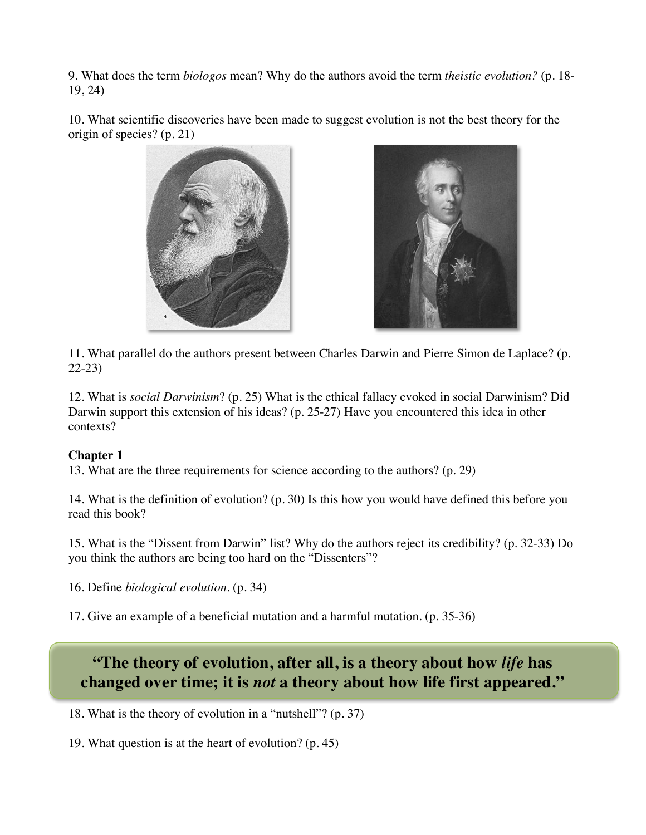9. What does the term *biologos* mean? Why do the authors avoid the term *theistic evolution?* (p. 18- 19, 24)

10. What scientific discoveries have been made to suggest evolution is not the best theory for the origin of species? (p. 21)





11. What parallel do the authors present between Charles Darwin and Pierre Simon de Laplace? (p. 22-23)

12. What is *social Darwinism*? (p. 25) What is the ethical fallacy evoked in social Darwinism? Did Darwin support this extension of his ideas? (p. 25-27) Have you encountered this idea in other contexts?

## **Chapter 1**

13. What are the three requirements for science according to the authors? (p. 29)

14. What is the definition of evolution? (p. 30) Is this how you would have defined this before you read this book?

15. What is the "Dissent from Darwin" list? Why do the authors reject its credibility? (p. 32-33) Do you think the authors are being too hard on the "Dissenters"?

16. Define *biological evolution*. (p. 34)

17. Give an example of a beneficial mutation and a harmful mutation. (p. 35-36)

# **"The theory of evolution, after all, is a theory about how** *life* **has changed over time; it is** *not* **a theory about how life first appeared."**

18. What is the theory of evolution in a "nutshell"? (p. 37)

19. What question is at the heart of evolution? (p. 45)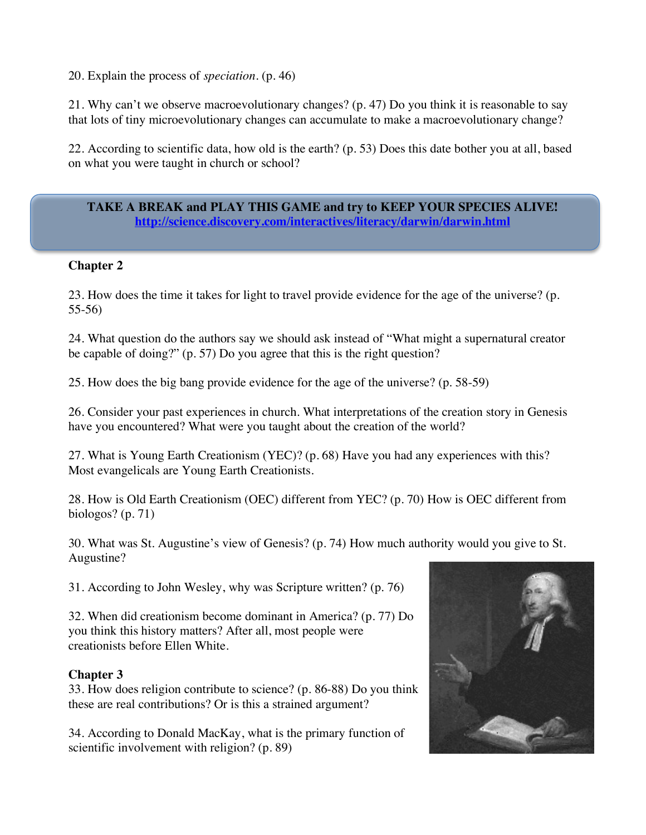20. Explain the process of *speciation*. (p. 46)

21. Why can't we observe macroevolutionary changes? (p. 47) Do you think it is reasonable to say that lots of tiny microevolutionary changes can accumulate to make a macroevolutionary change?

22. According to scientific data, how old is the earth? (p. 53) Does this date bother you at all, based on what you were taught in church or school?

**TAKE A BREAK and PLAY THIS GAME and try to KEEP YOUR SPECIES ALIVE! http://science.discovery.com/interactives/literacy/darwin/darwin.html**

#### **Chapter 2**

23. How does the time it takes for light to travel provide evidence for the age of the universe? (p. 55-56)

24. What question do the authors say we should ask instead of "What might a supernatural creator be capable of doing?" (p. 57) Do you agree that this is the right question?

25. How does the big bang provide evidence for the age of the universe? (p. 58-59)

26. Consider your past experiences in church. What interpretations of the creation story in Genesis have you encountered? What were you taught about the creation of the world?

27. What is Young Earth Creationism (YEC)? (p. 68) Have you had any experiences with this? Most evangelicals are Young Earth Creationists.

28. How is Old Earth Creationism (OEC) different from YEC? (p. 70) How is OEC different from biologos? (p. 71)

30. What was St. Augustine's view of Genesis? (p. 74) How much authority would you give to St. Augustine?

31. According to John Wesley, why was Scripture written? (p. 76)

32. When did creationism become dominant in America? (p. 77) Do you think this history matters? After all, most people were creationists before Ellen White.

#### **Chapter 3**

33. How does religion contribute to science? (p. 86-88) Do you think these are real contributions? Or is this a strained argument?

34. According to Donald MacKay, what is the primary function of scientific involvement with religion? (p. 89)

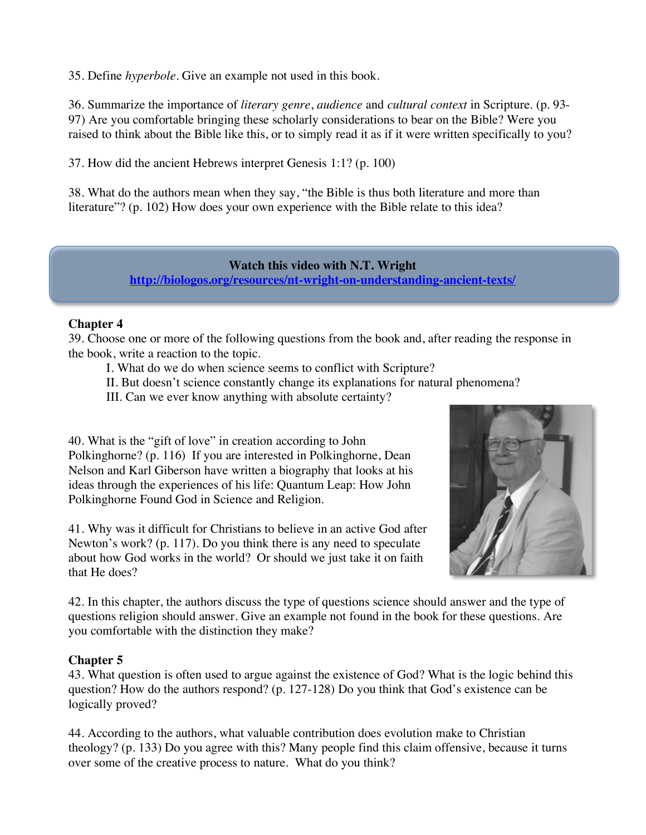35. Define *hyperbole*. Give an example not used in this book.

36. Summarize the importance of *literary genre*, *audience* and *cultural context* in Scripture. (p. 93- 97) Are you comfortable bringing these scholarly considerations to bear on the Bible? Were you raised to think about the Bible like this, or to simply read it as if it were written specifically to you?

37. How did the ancient Hebrews interpret Genesis 1:1? (p. 100)

38. What do the authors mean when they say, "the Bible is thus both literature and more than literature"? (p. 102) How does your own experience with the Bible relate to this idea?

#### **Watch this video with N.T. Wright http://biologos.org/resources/nt-wright-on-understanding-ancient-texts/**

#### **Chapter 4**

39. Choose one or more of the following questions from the book and, after reading the response in the book, write a reaction to the topic.

I. What do we do when science seems to conflict with Scripture?

II. But doesn't science constantly change its explanations for natural phenomena?

III. Can we ever know anything with absolute certainty?

40. What is the "gift of love" in creation according to John Polkinghorne? (p. 116) If you are interested in Polkinghorne, Dean Nelson and Karl Giberson have written a biography that looks at his ideas through the experiences of his life: Quantum Leap: How John Polkinghorne Found God in Science and Religion.

41. Why was it difficult for Christians to believe in an active God after Newton's work? (p. 117). Do you think there is any need to speculate about how God works in the world? Or should we just take it on faith that He does?



42. In this chapter, the authors discuss the type of questions science should answer and the type of questions religion should answer. Give an example not found in the book for these questions. Are you comfortable with the distinction they make?

#### **Chapter 5**

43. What question is often used to argue against the existence of God? What is the logic behind this question? How do the authors respond? (p. 127-128) Do you think that God's existence can be logically proved?

44. According to the authors, what valuable contribution does evolution make to Christian theology? (p. 133) Do you agree with this? Many people find this claim offensive, because it turns over some of the creative process to nature. What do you think?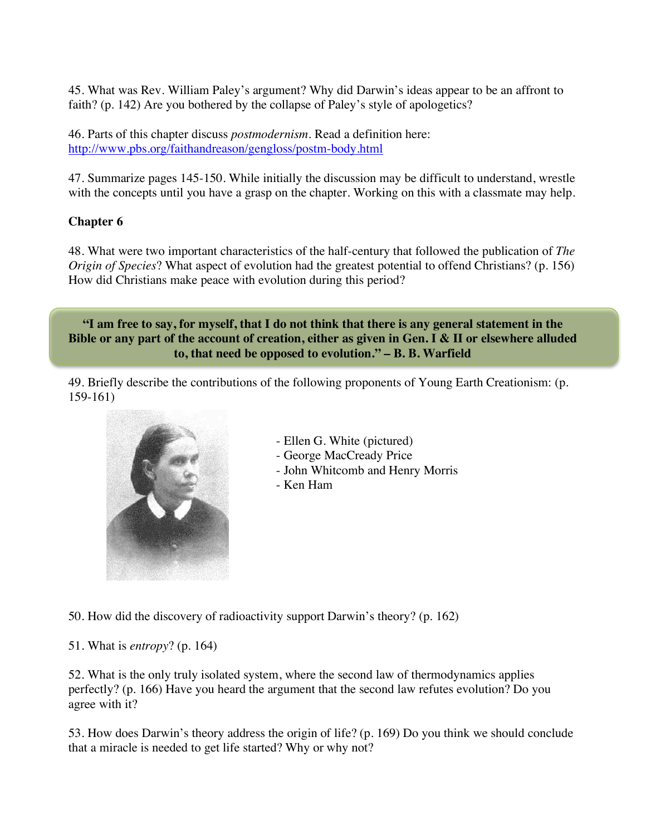45. What was Rev. William Paley's argument? Why did Darwin's ideas appear to be an affront to faith? (p. 142) Are you bothered by the collapse of Paley's style of apologetics?

46. Parts of this chapter discuss *postmodernism.* Read a definition here: http://www.pbs.org/faithandreason/gengloss/postm-body.html

47. Summarize pages 145-150. While initially the discussion may be difficult to understand, wrestle with the concepts until you have a grasp on the chapter. Working on this with a classmate may help.

## **Chapter 6**

48. What were two important characteristics of the half-century that followed the publication of *The Origin of Species*? What aspect of evolution had the greatest potential to offend Christians? (p. 156) How did Christians make peace with evolution during this period?

**"I am free to say, for myself, that I do not think that there is any general statement in the Bible or any part of the account of creation, either as given in Gen. I & II or elsewhere alluded to, that need be opposed to evolution." – B. B. Warfield**

49. Briefly describe the contributions of the following proponents of Young Earth Creationism: (p. 159-161)



- Ellen G. White (pictured)
- George MacCready Price
- John Whitcomb and Henry Morris
- Ken Ham

50. How did the discovery of radioactivity support Darwin's theory? (p. 162)

51. What is *entropy*? (p. 164)

52. What is the only truly isolated system, where the second law of thermodynamics applies perfectly? (p. 166) Have you heard the argument that the second law refutes evolution? Do you agree with it?

53. How does Darwin's theory address the origin of life? (p. 169) Do you think we should conclude that a miracle is needed to get life started? Why or why not?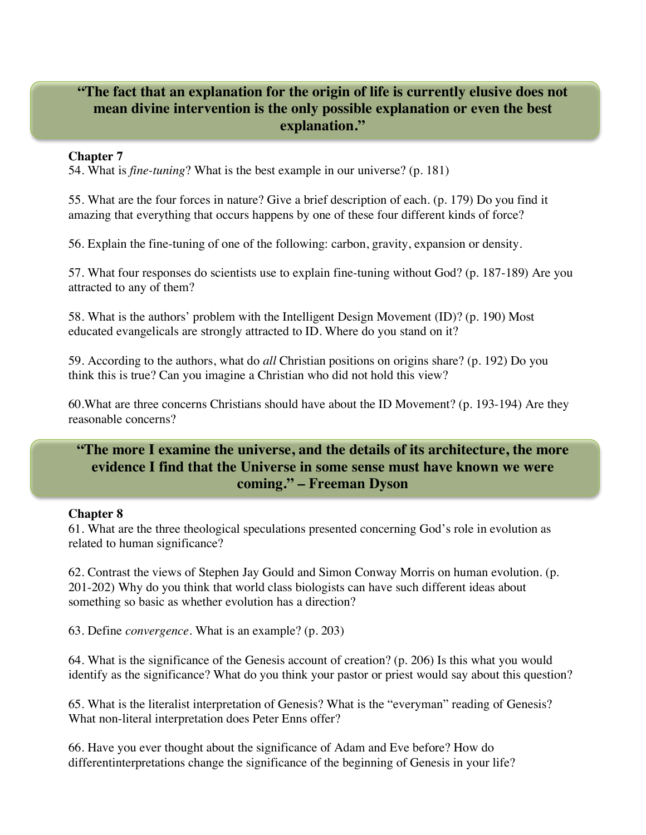# **"The fact that an explanation for the origin of life is currently elusive does not mean divine intervention is the only possible explanation or even the best explanation."**

#### **Chapter 7**

54. What is *fine-tuning*? What is the best example in our universe? (p. 181)

55. What are the four forces in nature? Give a brief description of each. (p. 179) Do you find it amazing that everything that occurs happens by one of these four different kinds of force?

56. Explain the fine-tuning of one of the following: carbon, gravity, expansion or density.

57. What four responses do scientists use to explain fine-tuning without God? (p. 187-189) Are you attracted to any of them?

58. What is the authors' problem with the Intelligent Design Movement (ID)? (p. 190) Most educated evangelicals are strongly attracted to ID. Where do you stand on it?

59. According to the authors, what do *all* Christian positions on origins share? (p. 192) Do you think this is true? Can you imagine a Christian who did not hold this view?

60.What are three concerns Christians should have about the ID Movement? (p. 193-194) Are they reasonable concerns?

# **"The more I examine the universe, and the details of its architecture, the more evidence I find that the Universe in some sense must have known we were coming." – Freeman Dyson**

#### **Chapter 8**

61. What are the three theological speculations presented concerning God's role in evolution as related to human significance?

62. Contrast the views of Stephen Jay Gould and Simon Conway Morris on human evolution. (p. 201-202) Why do you think that world class biologists can have such different ideas about something so basic as whether evolution has a direction?

63. Define *convergence*. What is an example? (p. 203)

64. What is the significance of the Genesis account of creation? (p. 206) Is this what you would identify as the significance? What do you think your pastor or priest would say about this question?

65. What is the literalist interpretation of Genesis? What is the "everyman" reading of Genesis? What non-literal interpretation does Peter Enns offer?

66. Have you ever thought about the significance of Adam and Eve before? How do differentinterpretations change the significance of the beginning of Genesis in your life?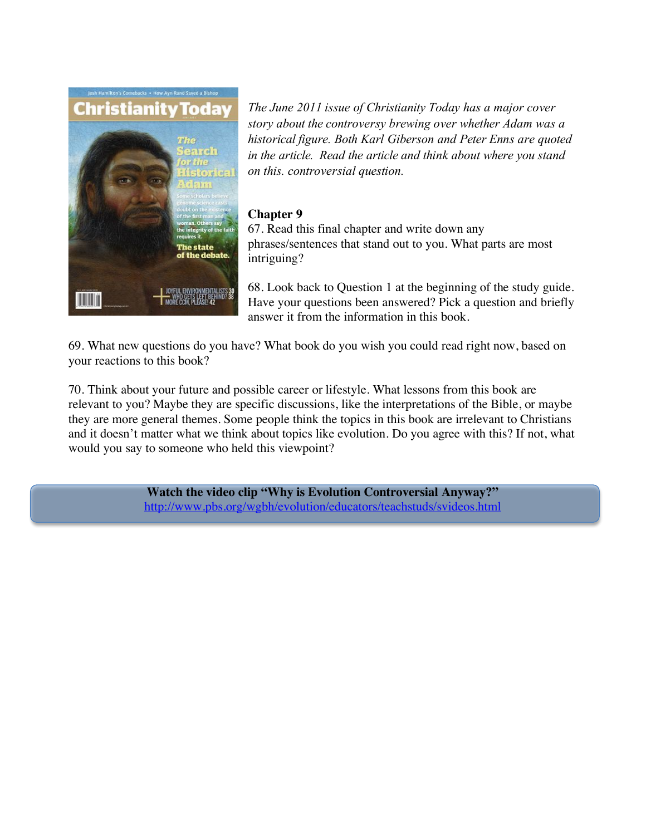

*The June 2011 issue of Christianity Today has a major cover story about the controversy brewing over whether Adam was a historical figure. Both Karl Giberson and Peter Enns are quoted in the article. Read the article and think about where you stand on this. controversial question.*

### **Chapter 9**

67. Read this final chapter and write down any phrases/sentences that stand out to you. What parts are most intriguing?

68. Look back to Question 1 at the beginning of the study guide. Have your questions been answered? Pick a question and briefly answer it from the information in this book.

69. What new questions do you have? What book do you wish you could read right now, based on your reactions to this book?

70. Think about your future and possible career or lifestyle. What lessons from this book are relevant to you? Maybe they are specific discussions, like the interpretations of the Bible, or maybe they are more general themes. Some people think the topics in this book are irrelevant to Christians and it doesn't matter what we think about topics like evolution. Do you agree with this? If not, what would you say to someone who held this viewpoint?

> **Watch the video clip "Why is Evolution Controversial Anyway?"** http://www.pbs.org/wgbh/evolution/educators/teachstuds/svideos.html